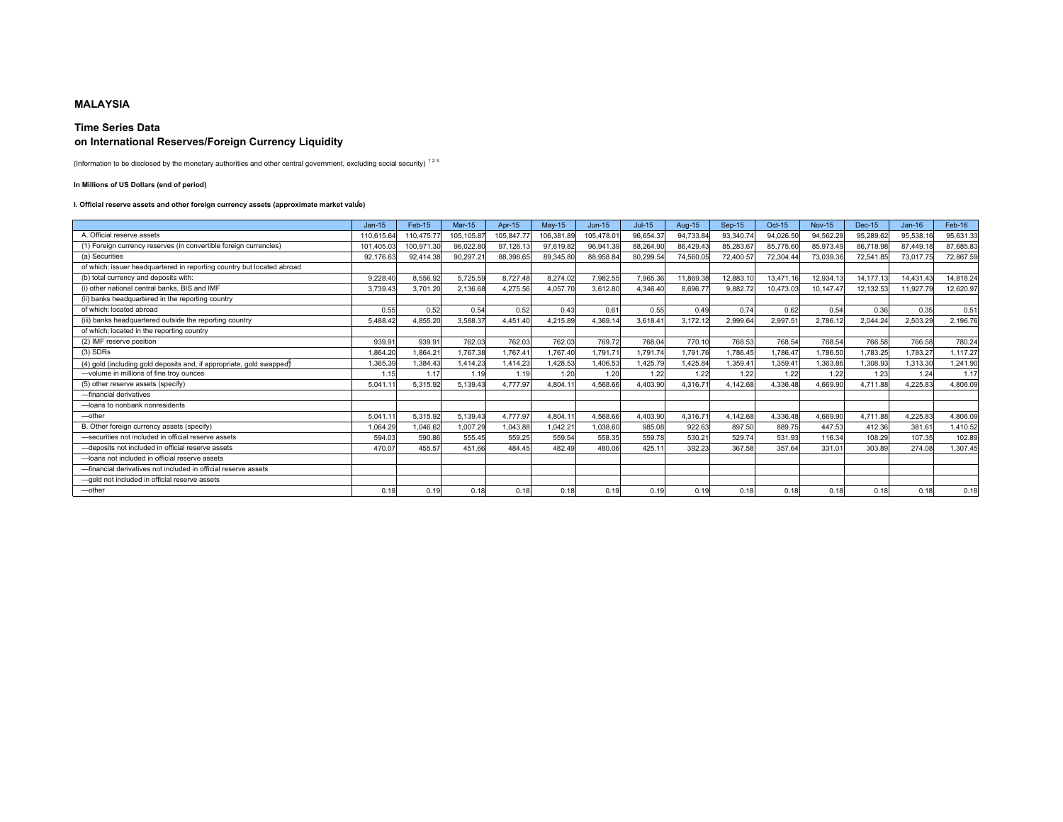# **MALAYSIA**

## **Time Series Data on International Reserves/Foreign Currency Liquidity**

(Information to be disclosed by the monetary authorities and other central government, excluding social security)  $^{123}$ 

## **In Millions of US Dollars (end of period)**

## I. Official reserve assets and other foreign currency assets (approximate market valu<sup>e)</sup>

|                                                                        | $Jan-15$  | Feb-15    | <b>Mar-15</b> | Apr-15    | $Mav-15$   | $Jun-15$  | $Jul-15$  | Aug-15    | Sep-15    | Oct-15    | <b>Nov-15</b>      | Dec-15    | $Jan-16$  | Feb-16    |
|------------------------------------------------------------------------|-----------|-----------|---------------|-----------|------------|-----------|-----------|-----------|-----------|-----------|--------------------|-----------|-----------|-----------|
| A. Official reserve assets                                             | 110,615.6 | 110,475.7 | 105,105.87    | 105,847.7 | 106,381.89 | 05,478.0  | 96,654.37 | 94,733.84 | 93,340.74 | 94.026.50 | 94,562.29          | 95,289.62 | 95.538.16 | 95,631.33 |
| (1) Foreign currency reserves (in convertible foreign currencies)      | 101.405.0 | 100.971.3 | 96,022.80     | 97.126.1  | 97.619.82  | 96,941.39 | 88.264.90 | 86.429.43 | 85,283.67 | 85,775.60 | 85,973.49          | 86.718.98 | 87.449.18 | 87,685.83 |
| (a) Securities                                                         | 92,176.6  | 92.414.3  | 90.297.2      | 88.398.65 | 89,345.8   | 88,958.84 | 80,299.54 | 74,560.05 | 72.400.57 | 72.304.4  | 73,039.3           | 72,541.8  | 73,017.75 | 72,867.59 |
| of which: issuer headquartered in reporting country but located abroad |           |           |               |           |            |           |           |           |           |           |                    |           |           |           |
| (b) total currency and deposits with:                                  | 9.228.40  | 8.556.92  | 5.725.59      | 8.727.48  | 8.274.02   | 7,982.55  | 7,965.36  | 11.869.38 | 12.883.1  | 13.471.1  | 12,934.13          | 14,177.13 | 14.431.43 | 14,818.24 |
| (i) other national central banks, BIS and IMF                          | 3.739.43  | 3.701.20  | 2.136.68      | 4.275.56  | 4.057.70   | 3.612.80  | 4.346.40  | 8,696.77  | 9.882.72  | 10.473.03 | 10.147.47          | 12.132.53 | 11.927.79 | 12,620.97 |
| (ii) banks headquartered in the reporting country                      |           |           |               |           |            |           |           |           |           |           |                    |           |           |           |
| of which: located abroad                                               | 0.55      | 0.52      | 0.54          | 0.52      | 0.43       | 0.61      | 0.55      | 0.49      | 0.74      | 0.62      | 0.54               | 0.36      | 0.35      | 0.51      |
| (iii) banks headquartered outside the reporting country                | 5,488.42  | 4,855.20  | 3,588.37      | 4,451.40  | 4,215.89   | 4,369.14  | 3,618.41  | 3,172.12  | 2,999.64  | 2,997.5   | 2,786.12           | 2,044.24  | 2,503.29  | 2,196.76  |
| of which: located in the reporting country                             |           |           |               |           |            |           |           |           |           |           |                    |           |           |           |
| (2) IMF reserve position                                               | 939.9     | 939.91    | 762.03        | 762.03    | 762.03     | 769.72    | 768.04    | 770.10    | 768.53    | 768.54    | 768.54             | 766.58    | 766.58    | 780.24    |
| $(3)$ SDRs                                                             | .864.20   | .864.2    | 1.767.38      | 1.767.4'  | 1.767.40   | 1.791.71  | 1.791.74  | .791.76   | 1.786.45  | .786.47   | .786.50            | 1.783.25  | .783.27   | 1,117.27  |
| (4) gold (including gold deposits and, if appropriate, gold swapped)   | 1.365.39  | .384.43   | 1.414.23      | 1.414.23  | .428.53    | 1.406.53  | 1.425.79  | 425.84    | 1.359.41  | 1.359.4   | .363.86            | .308.93   | 1.313.30  | 1,241.90  |
| -volume in millions of fine troy ounces                                | 1.15      | 1.17      | 1.19          | 1.19      | 1.20       | 1.20      | 1.22      | 1.22      | 1.22      | 1.22      | 1.22               | 1.23      | 1.24      | 1.17      |
| (5) other reserve assets (specify)                                     | 5.041.1   | 5.315.92  | 5,139.43      | 4.777.97  | 4,804.1    | 4.568.66  | 4,403.90  | 4.316.71  | 4.142.68  | 4.336.48  | 4.669.90           | 4.711.88  | 4.225.83  | 4,806.09  |
| -financial derivatives                                                 |           |           |               |           |            |           |           |           |           |           |                    |           |           |           |
| -loans to nonbank nonresidents                                         |           |           |               |           |            |           |           |           |           |           |                    |           |           |           |
| $-$ other                                                              | 5.041.1   | 5.315.92  | 5,139.43      | 4.777.97  | 4.804.1    | 4.568.66  | 4,403.90  | 4.316.71  | 4.142.68  | 4,336.48  | 4,669.90           | 4.711.88  | 4,225.83  | 4,806.09  |
| B. Other foreign currency assets (specify)                             | 1,064.29  | 1.046.6   | 1,007.29      | 1,043.88  | 1,042.2    | 1,038.60  | 985.08    | 922.63    | 897.50    | 889.75    | 447.53             | 412.36    | 381.61    | 1,410.52  |
| -securities not included in official reserve assets                    | 594.03    | 590.86    | 555.45        | 559.25    | 559.54     | 558.35    | 559.78    | 530.21    | 529.74    | 531.93    | 116.34             | 108.29    | 107.35    | 102.89    |
| -deposits not included in official reserve assets                      | 470.07    | 455.57    | 451.66        | 484.45    | 482.49     | 480.06    | 425.1     | 392.23    | 367.58    | 357.6     | 331.0 <sup>2</sup> | 303.89    | 274.08    | 1,307.45  |
| -loans not included in official reserve assets                         |           |           |               |           |            |           |           |           |           |           |                    |           |           |           |
| -financial derivatives not included in official reserve assets         |           |           |               |           |            |           |           |           |           |           |                    |           |           |           |
| -aold not included in official reserve assets                          |           |           |               |           |            |           |           |           |           |           |                    |           |           |           |
| $-$ other                                                              | 0.19      | 0.19      | 0.18          | 0.18      | 0.18       | 0.19      | 0.19      | 0.19      | 0.18      | 0.18      | 0.18               | 0.18      | 0.18      | 0.18      |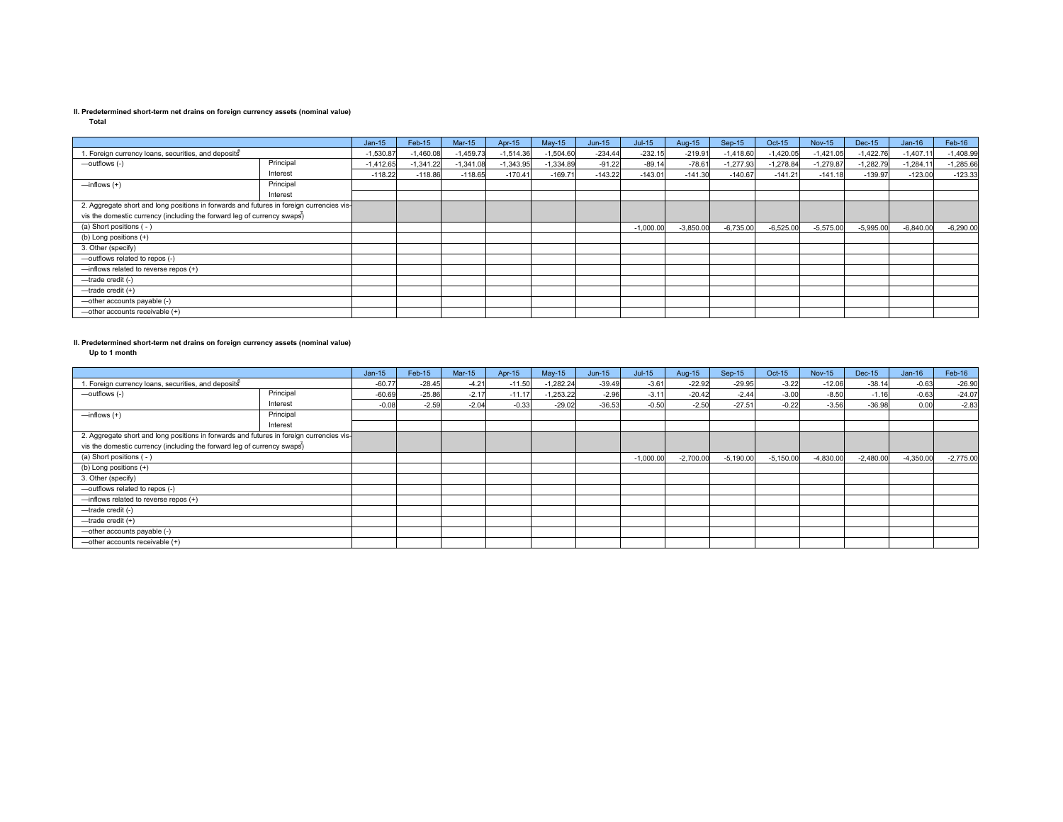**Total**

|                                                                                          |           | $Jan-15$    | Feb-15      | $Mar-15$    | Apr-15      | $May-15$    | $Jun-15$  | $Jul-15$    | Aug-15      | Sep-15      | Oct-15      | <b>Nov-15</b> | Dec-15      | $Jan-16$    | Feb-16      |
|------------------------------------------------------------------------------------------|-----------|-------------|-------------|-------------|-------------|-------------|-----------|-------------|-------------|-------------|-------------|---------------|-------------|-------------|-------------|
| 1. Foreign currency loans, securities, and deposits                                      |           | $-1,530.87$ | $-1,460.08$ | $-1,459.73$ | $-1,514.36$ | $-1,504.60$ | $-234.44$ | $-232.15$   | $-219.91$   | $-1,418.60$ | $-1,420.05$ | $-1.421.05$   | $-1,422.76$ | $-1,407.1$  | $-1,408.99$ |
| -outflows (-)                                                                            | Principal | $-1.412.65$ | $-1,341.22$ | $-1.341.08$ | $-1,343.95$ | $-1.334.89$ | $-91.22$  | $-89.14$    | $-78.61$    | $-1.277.93$ | $-1.278.84$ | $-1.279.87$   | $-1.282.79$ | $-1.284.1$  | $-1,285.66$ |
|                                                                                          | Interest  | $-118.22$   | $-118.86$   | $-118.65$   | $-170.41$   | $-169.71$   | $-143.22$ | $-143.01$   | $-141.30$   | $-140.67$   | $-141.21$   | $-141.18$     | $-139.97$   | $-123.00$   | $-123.33$   |
| $\frac{1}{2}$ inflows $(+)$                                                              | Principal |             |             |             |             |             |           |             |             |             |             |               |             |             |             |
|                                                                                          | Interest  |             |             |             |             |             |           |             |             |             |             |               |             |             |             |
| 2. Aggregate short and long positions in forwards and futures in foreign currencies vis- |           |             |             |             |             |             |           |             |             |             |             |               |             |             |             |
| vis the domestic currency (including the forward leg of currency swaps)                  |           |             |             |             |             |             |           |             |             |             |             |               |             |             |             |
| (a) Short positions (-)                                                                  |           |             |             |             |             |             |           | $-1,000.00$ | $-3,850.00$ | $-6,735.00$ | $-6,525.00$ | $-5,575.00$   | $-5,995.00$ | $-6,840.00$ | $-6,290.00$ |
| (b) Long positions (+)                                                                   |           |             |             |             |             |             |           |             |             |             |             |               |             |             |             |
| 3. Other (specify)                                                                       |           |             |             |             |             |             |           |             |             |             |             |               |             |             |             |
| -outflows related to repos (-)                                                           |           |             |             |             |             |             |           |             |             |             |             |               |             |             |             |
| -inflows related to reverse repos (+)                                                    |           |             |             |             |             |             |           |             |             |             |             |               |             |             |             |
| -trade credit (-)                                                                        |           |             |             |             |             |             |           |             |             |             |             |               |             |             |             |
| $-$ trade credit $(+)$                                                                   |           |             |             |             |             |             |           |             |             |             |             |               |             |             |             |
| -other accounts payable (-)                                                              |           |             |             |             |             |             |           |             |             |             |             |               |             |             |             |
| -other accounts receivable (+)                                                           |           |             |             |             |             |             |           |             |             |             |             |               |             |             |             |

### **II. Predetermined short-term net drains on foreign currency assets (nominal value)**

**Up to 1 month**

|                                                                                          |           | $Jan-15$ | Feb-15   | $Mar-15$ | Apr-15   | $May-15$    | $Jun-15$ | $Jul-15$    | Aug-15      | Sep-15      | Oct-15      | <b>Nov-15</b> | <b>Dec-15</b> | $Jan-16$    | Feb-16      |
|------------------------------------------------------------------------------------------|-----------|----------|----------|----------|----------|-------------|----------|-------------|-------------|-------------|-------------|---------------|---------------|-------------|-------------|
| . Foreign currency loans, securities, and deposits                                       |           | $-60.77$ | $-28.45$ | $-4.21$  | $-11.50$ | $-1,282.24$ | $-39.49$ | $-3.61$     | $-22.92$    | $-29.95$    | $-3.22$     | $-12.06$      | $-38.14$      | $-0.63$     | $-26.90$    |
| -outflows (-)                                                                            | Principal | $-60.69$ | $-25.86$ | $-2.17$  | $-11.1$  | $-1,253.22$ | $-2.96$  | $-3.11$     | $-20.42$    | $-2.44$     | $-3.00$     | $-8.50$       | $-1.16$       | $-0.63$     | $-24.07$    |
|                                                                                          | Interest  | $-0.08$  | $-2.59$  | $-2.04$  | $-0.33$  | $-29.02$    | $-36.53$ | $-0.50$     | $-2.50$     | $-27.51$    | $-0.22$     | $-3.56$       | $-36.98$      | 0.00        | $-2.83$     |
| $\frac{1}{2}$ inflows $(+)$                                                              | Principal |          |          |          |          |             |          |             |             |             |             |               |               |             |             |
|                                                                                          | Interest  |          |          |          |          |             |          |             |             |             |             |               |               |             |             |
| 2. Aggregate short and long positions in forwards and futures in foreign currencies vis- |           |          |          |          |          |             |          |             |             |             |             |               |               |             |             |
| vis the domestic currency (including the forward leg of currency swaps)                  |           |          |          |          |          |             |          |             |             |             |             |               |               |             |             |
| (a) Short positions (-)                                                                  |           |          |          |          |          |             |          | $-1,000.00$ | $-2,700.00$ | $-5,190.00$ | $-5,150.00$ | $-4,830.00$   | $-2,480.00$   | $-4,350.00$ | $-2,775.00$ |
| (b) Long positions (+)                                                                   |           |          |          |          |          |             |          |             |             |             |             |               |               |             |             |
| 3. Other (specify)                                                                       |           |          |          |          |          |             |          |             |             |             |             |               |               |             |             |
| -outflows related to repos (-)                                                           |           |          |          |          |          |             |          |             |             |             |             |               |               |             |             |
| -inflows related to reverse repos (+)                                                    |           |          |          |          |          |             |          |             |             |             |             |               |               |             |             |
| -trade credit (-)                                                                        |           |          |          |          |          |             |          |             |             |             |             |               |               |             |             |
| $-$ trade credit $(+)$                                                                   |           |          |          |          |          |             |          |             |             |             |             |               |               |             |             |
| -other accounts payable (-)                                                              |           |          |          |          |          |             |          |             |             |             |             |               |               |             |             |
| -other accounts receivable (+)                                                           |           |          |          |          |          |             |          |             |             |             |             |               |               |             |             |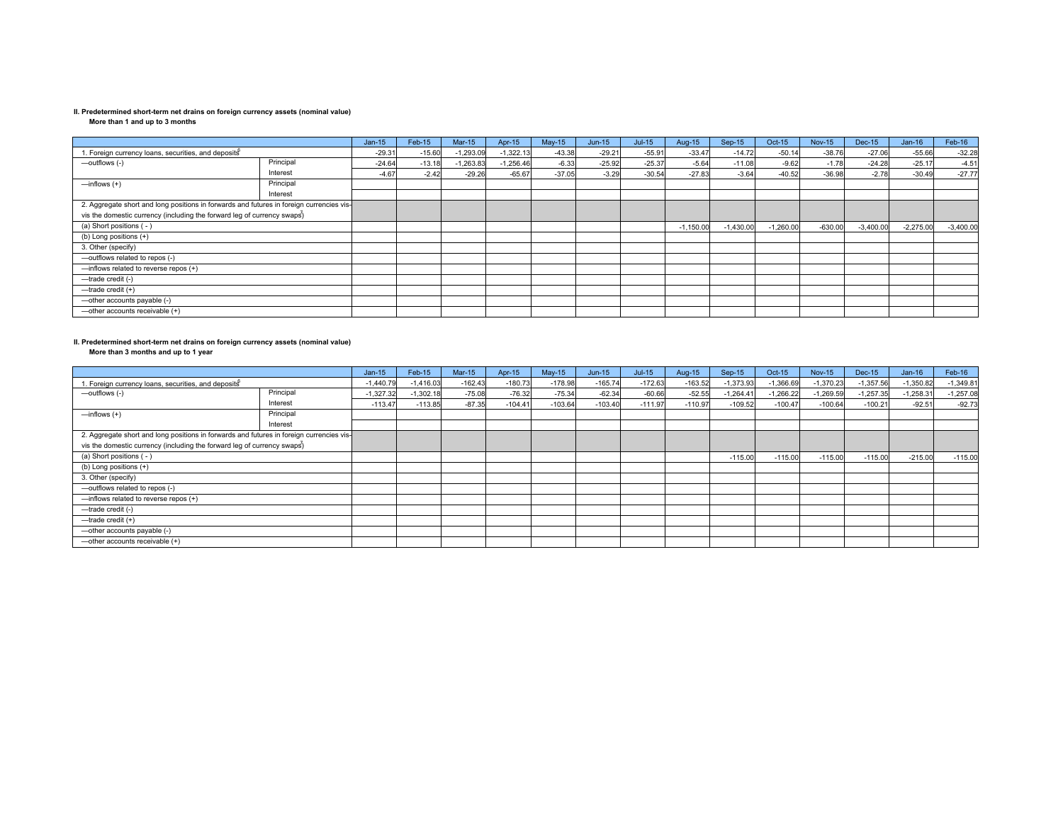**More than 1 and up to 3 months**

|                                                                                          |           | $Jan-15$ | Feb-15   | <b>Mar-15</b> | Apr-15      | $May-15$ | $Jun-15$ | $Jul-15$ | Aug-15      | $Sep-15$    | Oct-15   | <b>Nov-15</b> | Dec-15      | $Jan-16$    | Feb-16      |
|------------------------------------------------------------------------------------------|-----------|----------|----------|---------------|-------------|----------|----------|----------|-------------|-------------|----------|---------------|-------------|-------------|-------------|
| 1. Foreign currency loans, securities, and deposits                                      |           | $-29.31$ | $-15.60$ | $-1,293.09$   | $-1,322.13$ | $-43.38$ | $-29.21$ | $-55.91$ | $-33.47$    | $-14.72$    | $-50.14$ | $-38.76$      | $-27.06$    | $-55.66$    | $-32.28$    |
| -outflows (-)                                                                            | Principal | $-24.64$ | $-13.18$ | $-1,263.83$   | $-1,256.46$ | $-6.33$  | $-25.92$ | $-25.37$ | $-5.64$     | $-11.08$    | $-9.62$  | $-1.78$       | $-24.28$    | $-25.17$    | $-4.51$     |
|                                                                                          | Interest  | $-4.67$  | $-2.42$  | $-29.26$      | $-65.67$    | $-37.05$ | $-3.29$  | $-30.54$ | $-27.83$    | $-3.64$     | $-40.52$ | $-36.98$      | $-2.78$     | $-30.49$    | $-27.77$    |
| $\equiv$ inflows $(+)$                                                                   | Principal |          |          |               |             |          |          |          |             |             |          |               |             |             |             |
|                                                                                          | Interest  |          |          |               |             |          |          |          |             |             |          |               |             |             |             |
| 2. Aggregate short and long positions in forwards and futures in foreign currencies vis- |           |          |          |               |             |          |          |          |             |             |          |               |             |             |             |
| vis the domestic currency (including the forward leg of currency swaps)                  |           |          |          |               |             |          |          |          |             |             |          |               |             |             |             |
| (a) Short positions (-)                                                                  |           |          |          |               |             |          |          |          | $-1,150.00$ | $-1,430.00$ | 1,260.00 | $-630.00$     | $-3,400.00$ | $-2,275.00$ | $-3,400.00$ |
| (b) Long positions (+)                                                                   |           |          |          |               |             |          |          |          |             |             |          |               |             |             |             |
| 3. Other (specify)                                                                       |           |          |          |               |             |          |          |          |             |             |          |               |             |             |             |
| -outflows related to repos (-)                                                           |           |          |          |               |             |          |          |          |             |             |          |               |             |             |             |
| -inflows related to reverse repos (+)                                                    |           |          |          |               |             |          |          |          |             |             |          |               |             |             |             |
| -trade credit (-)                                                                        |           |          |          |               |             |          |          |          |             |             |          |               |             |             |             |
| $-$ trade credit $(+)$                                                                   |           |          |          |               |             |          |          |          |             |             |          |               |             |             |             |
| -other accounts payable (-)                                                              |           |          |          |               |             |          |          |          |             |             |          |               |             |             |             |
| -other accounts receivable (+)                                                           |           |          |          |               |             |          |          |          |             |             |          |               |             |             |             |

# **II. Predetermined short-term net drains on foreign currency assets (nominal value) More than 3 months and up to 1 year**

| More than 3 months and up to 1 year                                                      |           |             |             |           |           |           |           |           |           |             |             |               |             |             |             |
|------------------------------------------------------------------------------------------|-----------|-------------|-------------|-----------|-----------|-----------|-----------|-----------|-----------|-------------|-------------|---------------|-------------|-------------|-------------|
|                                                                                          |           | $Jan-15$    | Feb-15      | $Mar-15$  | Apr-15    | $May-15$  | $Jun-15$  | $Jul-15$  | Aug-15    | $Sep-15$    | Oct-15      | <b>Nov-15</b> | Dec-15      | $Jan-16$    | Feb-16      |
| 1. Foreign currency loans, securities, and deposits                                      |           | $-1,440.79$ | $-1,416.03$ | $-162.43$ | $-180.73$ | $-178.98$ | $-165.74$ | $-172.63$ | $-163.52$ | $-1,373.93$ | $-1,366.69$ | $-1,370.23$   | $-1,357.56$ | $-1,350.82$ | $-1,349.81$ |
| -outflows (-)                                                                            | Principal | $-1,327.32$ | $-1,302.18$ | $-75.08$  | $-76.32$  | $-75.34$  | $-62.34$  | $-60.66$  | $-52.55$  | $-1,264.41$ | $-1,266.22$ | $-1,269.59$   | $-1,257.35$ | $-1,258.31$ | $-1,257.08$ |
|                                                                                          | Interest  | $-113.47$   | $-113.85$   | $-87.35$  | $-104.41$ | $-103.64$ | $-103.40$ | $-111.97$ | $-110.97$ | $-109.52$   | $-100.47$   | $-100.64$     | $-100.21$   | $-92.51$    | $-92.73$    |
| $-$ inflows $(+)$                                                                        | Principal |             |             |           |           |           |           |           |           |             |             |               |             |             |             |
|                                                                                          | Interest  |             |             |           |           |           |           |           |           |             |             |               |             |             |             |
| 2. Aggregate short and long positions in forwards and futures in foreign currencies vis- |           |             |             |           |           |           |           |           |           |             |             |               |             |             |             |
| vis the domestic currency (including the forward leg of currency swaps)                  |           |             |             |           |           |           |           |           |           |             |             |               |             |             |             |
| (a) Short positions (-)                                                                  |           |             |             |           |           |           |           |           |           | $-115.00$   | $-115.00$   | $-115.00$     | $-115.00$   | $-215.00$   | $-115.00$   |
| (b) Long positions (+)                                                                   |           |             |             |           |           |           |           |           |           |             |             |               |             |             |             |
| 3. Other (specify)                                                                       |           |             |             |           |           |           |           |           |           |             |             |               |             |             |             |
| -outflows related to repos (-)                                                           |           |             |             |           |           |           |           |           |           |             |             |               |             |             |             |
| -inflows related to reverse repos (+)                                                    |           |             |             |           |           |           |           |           |           |             |             |               |             |             |             |
| -trade credit (-)                                                                        |           |             |             |           |           |           |           |           |           |             |             |               |             |             |             |
| -trade credit (+)                                                                        |           |             |             |           |           |           |           |           |           |             |             |               |             |             |             |
| -other accounts payable (-)                                                              |           |             |             |           |           |           |           |           |           |             |             |               |             |             |             |
| -other accounts receivable (+)                                                           |           |             |             |           |           |           |           |           |           |             |             |               |             |             |             |
|                                                                                          |           |             |             |           |           |           |           |           |           |             |             |               |             |             |             |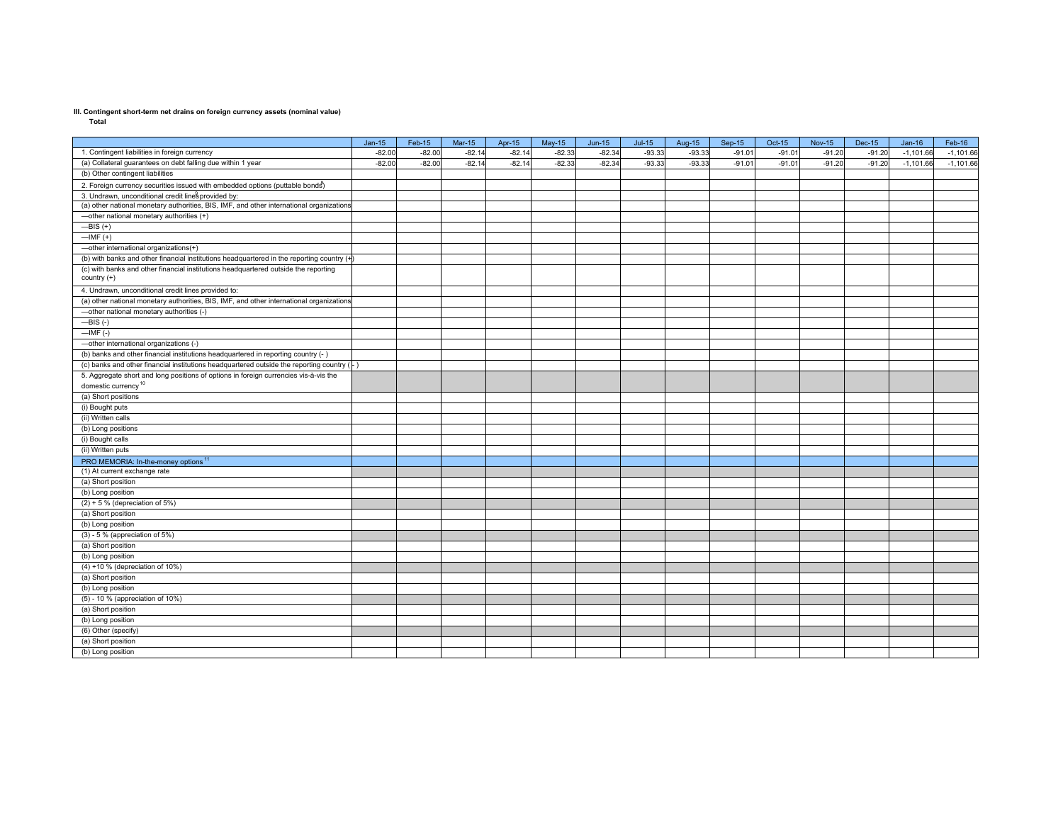**Total**

|                                                                                           | $Jan-15$ | Feb-15   | $Mar-15$ | Apr-15   | $May-15$ | $Jun-15$ | $Jul-15$ | Aug-15   | $Sep-15$ | Oct-15  | <b>Nov-15</b> | Dec-15   | $Jan-16$    | Feb-16      |
|-------------------------------------------------------------------------------------------|----------|----------|----------|----------|----------|----------|----------|----------|----------|---------|---------------|----------|-------------|-------------|
| 1. Contingent liabilities in foreign currency                                             | $-82.00$ | $-82.00$ | $-82.14$ | $-82.14$ | $-82.33$ | $-82.34$ | $-93.33$ | $-93.33$ | $-91.01$ | $-91.0$ | $-91.20$      | $-91.20$ | $-1,101.66$ | $-1,101.66$ |
| (a) Collateral guarantees on debt falling due within 1 year                               | $-82.00$ | $-82.00$ | $-82.14$ | $-82.14$ | $-82.33$ | $-82.34$ | $-93.33$ | $-93.33$ | $-91.01$ | $-91.0$ | $-91.20$      | $-91.20$ | $-1,101.66$ | $-1,101.66$ |
| (b) Other contingent liabilities                                                          |          |          |          |          |          |          |          |          |          |         |               |          |             |             |
| 2. Foreign currency securities issued with embedded options (puttable bonds)              |          |          |          |          |          |          |          |          |          |         |               |          |             |             |
| 3. Undrawn, unconditional credit linesprovided by:                                        |          |          |          |          |          |          |          |          |          |         |               |          |             |             |
| (a) other national monetary authorities, BIS, IMF, and other international organizations  |          |          |          |          |          |          |          |          |          |         |               |          |             |             |
| -other national monetary authorities (+)                                                  |          |          |          |          |          |          |          |          |          |         |               |          |             |             |
| $-BIS (+)$                                                                                |          |          |          |          |          |          |          |          |          |         |               |          |             |             |
| $-MF (+)$                                                                                 |          |          |          |          |          |          |          |          |          |         |               |          |             |             |
| -other international organizations(+)                                                     |          |          |          |          |          |          |          |          |          |         |               |          |             |             |
| (b) with banks and other financial institutions headquartered in the reporting country (+ |          |          |          |          |          |          |          |          |          |         |               |          |             |             |
| (c) with banks and other financial institutions headquartered outside the reporting       |          |          |          |          |          |          |          |          |          |         |               |          |             |             |
| country (+)                                                                               |          |          |          |          |          |          |          |          |          |         |               |          |             |             |
| 4. Undrawn, unconditional credit lines provided to:                                       |          |          |          |          |          |          |          |          |          |         |               |          |             |             |
| (a) other national monetary authorities, BIS, IMF, and other international organizations  |          |          |          |          |          |          |          |          |          |         |               |          |             |             |
| -other national monetary authorities (-)                                                  |          |          |          |          |          |          |          |          |          |         |               |          |             |             |
| $-BIS$ (-)                                                                                |          |          |          |          |          |          |          |          |          |         |               |          |             |             |
| $-MF(-)$                                                                                  |          |          |          |          |          |          |          |          |          |         |               |          |             |             |
| -other international organizations (-)                                                    |          |          |          |          |          |          |          |          |          |         |               |          |             |             |
| (b) banks and other financial institutions headquartered in reporting country (-          |          |          |          |          |          |          |          |          |          |         |               |          |             |             |
| (c) banks and other financial institutions headquartered outside the reporting country (  |          |          |          |          |          |          |          |          |          |         |               |          |             |             |
| 5. Aggregate short and long positions of options in foreign currencies vis-à-vis the      |          |          |          |          |          |          |          |          |          |         |               |          |             |             |
| domestic currency <sup>10</sup>                                                           |          |          |          |          |          |          |          |          |          |         |               |          |             |             |
| (a) Short positions                                                                       |          |          |          |          |          |          |          |          |          |         |               |          |             |             |
| (i) Bought puts                                                                           |          |          |          |          |          |          |          |          |          |         |               |          |             |             |
| (ii) Written calls                                                                        |          |          |          |          |          |          |          |          |          |         |               |          |             |             |
| (b) Long positions                                                                        |          |          |          |          |          |          |          |          |          |         |               |          |             |             |
| (i) Bought calls                                                                          |          |          |          |          |          |          |          |          |          |         |               |          |             |             |
| (ii) Written puts                                                                         |          |          |          |          |          |          |          |          |          |         |               |          |             |             |
| PRO MEMORIA: In-the-money options <sup>11</sup>                                           |          |          |          |          |          |          |          |          |          |         |               |          |             |             |
| (1) At current exchange rate                                                              |          |          |          |          |          |          |          |          |          |         |               |          |             |             |
| (a) Short position                                                                        |          |          |          |          |          |          |          |          |          |         |               |          |             |             |
| (b) Long position                                                                         |          |          |          |          |          |          |          |          |          |         |               |          |             |             |
| $(2) + 5$ % (depreciation of 5%)                                                          |          |          |          |          |          |          |          |          |          |         |               |          |             |             |
| (a) Short position                                                                        |          |          |          |          |          |          |          |          |          |         |               |          |             |             |
| (b) Long position                                                                         |          |          |          |          |          |          |          |          |          |         |               |          |             |             |
| $(3)$ - 5 % (appreciation of 5%)                                                          |          |          |          |          |          |          |          |          |          |         |               |          |             |             |
| (a) Short position                                                                        |          |          |          |          |          |          |          |          |          |         |               |          |             |             |
| (b) Long position                                                                         |          |          |          |          |          |          |          |          |          |         |               |          |             |             |
| (4) +10 % (depreciation of 10%)                                                           |          |          |          |          |          |          |          |          |          |         |               |          |             |             |
| (a) Short position                                                                        |          |          |          |          |          |          |          |          |          |         |               |          |             |             |
| (b) Long position                                                                         |          |          |          |          |          |          |          |          |          |         |               |          |             |             |
| (5) - 10 % (appreciation of 10%)                                                          |          |          |          |          |          |          |          |          |          |         |               |          |             |             |
| (a) Short position                                                                        |          |          |          |          |          |          |          |          |          |         |               |          |             |             |
| (b) Long position                                                                         |          |          |          |          |          |          |          |          |          |         |               |          |             |             |
| (6) Other (specify)                                                                       |          |          |          |          |          |          |          |          |          |         |               |          |             |             |
| (a) Short position                                                                        |          |          |          |          |          |          |          |          |          |         |               |          |             |             |
| (b) Long position                                                                         |          |          |          |          |          |          |          |          |          |         |               |          |             |             |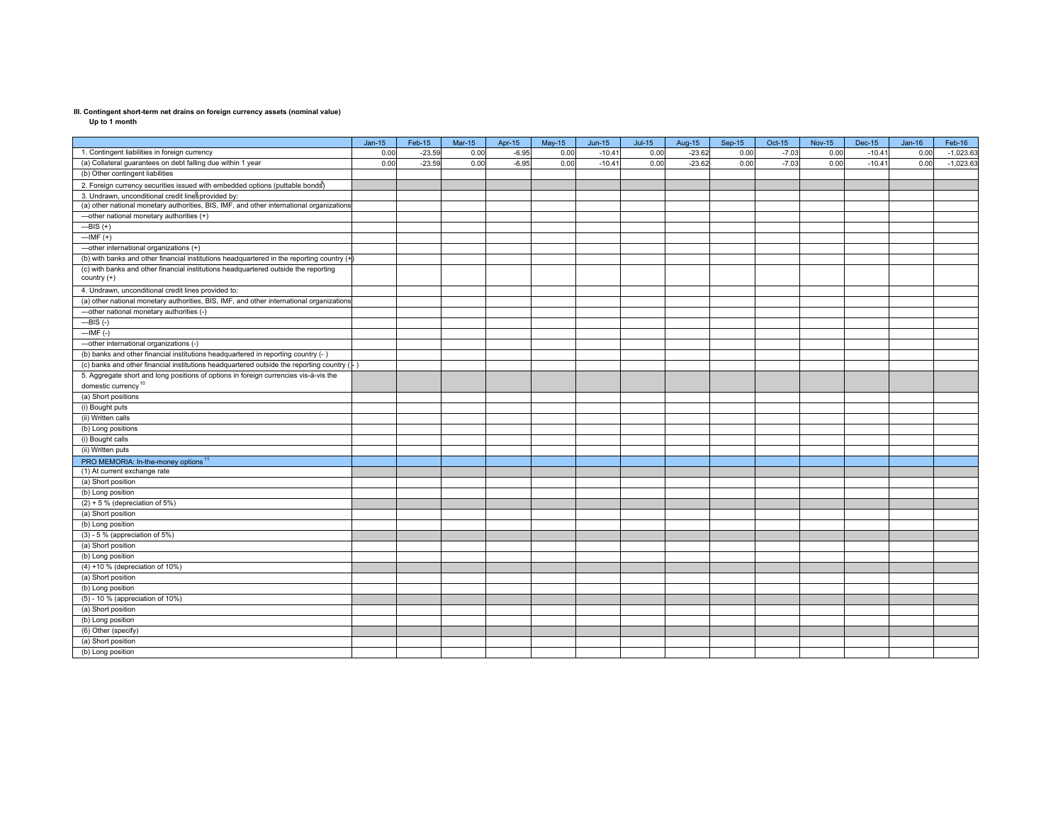**Up to 1 month**

|                                                                                                    | $Jan-15$ | Feb-15   | $Mar-15$ | Apr-15  | $May-15$ | $Jun-15$ | $Jul-15$ | Aug-15   | $Sep-15$ | Oct-15  | <b>Nov-15</b> | <b>Dec-15</b> | $Jan-16$ | Feb-16      |
|----------------------------------------------------------------------------------------------------|----------|----------|----------|---------|----------|----------|----------|----------|----------|---------|---------------|---------------|----------|-------------|
| 1. Contingent liabilities in foreign currency                                                      | 0.00     | $-23.59$ | 0.00     | $-6.95$ | 0.00     | $-10.41$ | 0.00     | $-23.62$ | 0.00     | $-7.03$ | 0.00          | $-10.41$      | 0.00     | $-1,023.63$ |
| (a) Collateral guarantees on debt falling due within 1 year                                        | 0.00     | $-23.59$ | 0.00     | $-6.95$ | 0.00     | $-10.4$  | 0.00     | $-23.62$ | 0.00     | $-7.03$ | 0.00          | $-10.41$      | 0.00     | $-1,023.63$ |
| (b) Other contingent liabilities                                                                   |          |          |          |         |          |          |          |          |          |         |               |               |          |             |
| 2. Foreign currency securities issued with embedded options (puttable bonds)                       |          |          |          |         |          |          |          |          |          |         |               |               |          |             |
| 3. Undrawn, unconditional credit linesprovided by:                                                 |          |          |          |         |          |          |          |          |          |         |               |               |          |             |
| (a) other national monetary authorities, BIS, IMF, and other international organizations           |          |          |          |         |          |          |          |          |          |         |               |               |          |             |
| -other national monetary authorities (+)                                                           |          |          |          |         |          |          |          |          |          |         |               |               |          |             |
| $-BIS (+)$                                                                                         |          |          |          |         |          |          |          |          |          |         |               |               |          |             |
| $-MF (+)$                                                                                          |          |          |          |         |          |          |          |          |          |         |               |               |          |             |
| -other international organizations (+)                                                             |          |          |          |         |          |          |          |          |          |         |               |               |          |             |
| (b) with banks and other financial institutions headquartered in the reporting country (+          |          |          |          |         |          |          |          |          |          |         |               |               |          |             |
| (c) with banks and other financial institutions headquartered outside the reporting<br>country (+) |          |          |          |         |          |          |          |          |          |         |               |               |          |             |
| 4. Undrawn, unconditional credit lines provided to:                                                |          |          |          |         |          |          |          |          |          |         |               |               |          |             |
| (a) other national monetary authorities, BIS, IMF, and other international organizations           |          |          |          |         |          |          |          |          |          |         |               |               |          |             |
| -other national monetary authorities (-)                                                           |          |          |          |         |          |          |          |          |          |         |               |               |          |             |
| $-BIS$ (-)                                                                                         |          |          |          |         |          |          |          |          |          |         |               |               |          |             |
| $-MF(-)$                                                                                           |          |          |          |         |          |          |          |          |          |         |               |               |          |             |
| -other international organizations (-)                                                             |          |          |          |         |          |          |          |          |          |         |               |               |          |             |
| (b) banks and other financial institutions headquartered in reporting country (- )                 |          |          |          |         |          |          |          |          |          |         |               |               |          |             |
| (c) banks and other financial institutions headquartered outside the reporting country $(+)$       |          |          |          |         |          |          |          |          |          |         |               |               |          |             |
| 5. Aggregate short and long positions of options in foreign currencies vis-à-vis the               |          |          |          |         |          |          |          |          |          |         |               |               |          |             |
| domestic currency <sup>10</sup>                                                                    |          |          |          |         |          |          |          |          |          |         |               |               |          |             |
| (a) Short positions                                                                                |          |          |          |         |          |          |          |          |          |         |               |               |          |             |
| (i) Bought puts                                                                                    |          |          |          |         |          |          |          |          |          |         |               |               |          |             |
| (ii) Written calls                                                                                 |          |          |          |         |          |          |          |          |          |         |               |               |          |             |
| (b) Long positions                                                                                 |          |          |          |         |          |          |          |          |          |         |               |               |          |             |
| (i) Bought calls                                                                                   |          |          |          |         |          |          |          |          |          |         |               |               |          |             |
| (ii) Written puts                                                                                  |          |          |          |         |          |          |          |          |          |         |               |               |          |             |
| PRO MEMORIA: In-the-money options <sup>11</sup>                                                    |          |          |          |         |          |          |          |          |          |         |               |               |          |             |
| (1) At current exchange rate                                                                       |          |          |          |         |          |          |          |          |          |         |               |               |          |             |
| (a) Short position                                                                                 |          |          |          |         |          |          |          |          |          |         |               |               |          |             |
| (b) Long position                                                                                  |          |          |          |         |          |          |          |          |          |         |               |               |          |             |
| $(2) + 5$ % (depreciation of 5%)                                                                   |          |          |          |         |          |          |          |          |          |         |               |               |          |             |
| (a) Short position                                                                                 |          |          |          |         |          |          |          |          |          |         |               |               |          |             |
| (b) Long position                                                                                  |          |          |          |         |          |          |          |          |          |         |               |               |          |             |
| $(3)$ - 5 % (appreciation of 5%)                                                                   |          |          |          |         |          |          |          |          |          |         |               |               |          |             |
| (a) Short position                                                                                 |          |          |          |         |          |          |          |          |          |         |               |               |          |             |
| (b) Long position                                                                                  |          |          |          |         |          |          |          |          |          |         |               |               |          |             |
| (4) +10 % (depreciation of 10%)                                                                    |          |          |          |         |          |          |          |          |          |         |               |               |          |             |
| (a) Short position                                                                                 |          |          |          |         |          |          |          |          |          |         |               |               |          |             |
| (b) Long position                                                                                  |          |          |          |         |          |          |          |          |          |         |               |               |          |             |
| (5) - 10 % (appreciation of 10%)                                                                   |          |          |          |         |          |          |          |          |          |         |               |               |          |             |
| (a) Short position                                                                                 |          |          |          |         |          |          |          |          |          |         |               |               |          |             |
| (b) Long position                                                                                  |          |          |          |         |          |          |          |          |          |         |               |               |          |             |
| (6) Other (specify)                                                                                |          |          |          |         |          |          |          |          |          |         |               |               |          |             |
| (a) Short position                                                                                 |          |          |          |         |          |          |          |          |          |         |               |               |          |             |
| (b) Long position                                                                                  |          |          |          |         |          |          |          |          |          |         |               |               |          |             |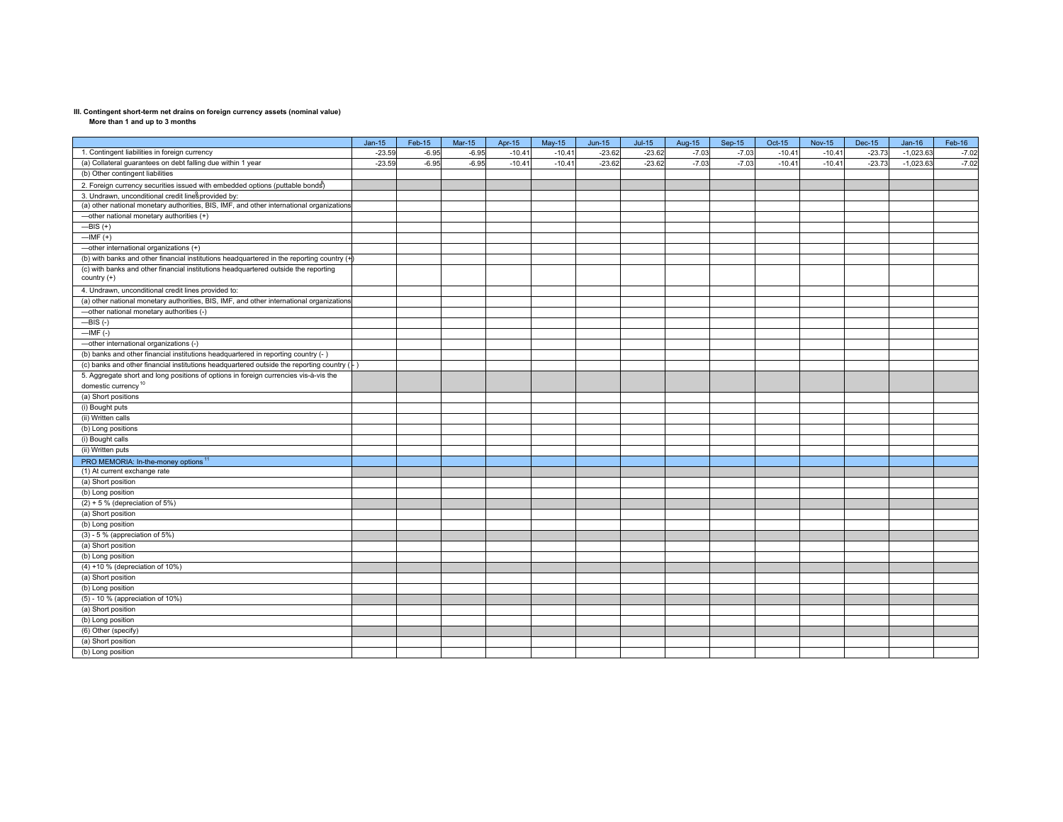**More than 1 and up to 3 months**

|                                                                                                    | $Jan-15$ | Feb-15  | <b>Mar-15</b> | Apr-15   | $May-15$ | $Jun-15$ | $Jul-15$ | Aug-15  | $Sep-15$ | Oct-15   | <b>Nov-15</b> | Dec-15   | $Jan-16$    | Feb-16  |
|----------------------------------------------------------------------------------------------------|----------|---------|---------------|----------|----------|----------|----------|---------|----------|----------|---------------|----------|-------------|---------|
| 1. Contingent liabilities in foreign currency                                                      | $-23.59$ | $-6.95$ | $-6.95$       | $-10.41$ | $-10.4$  | $-23.62$ | $-23.62$ | $-7.03$ | $-7.03$  | $-10.41$ | $-10.4$       | $-23.73$ | $-1,023.63$ | $-7.02$ |
| (a) Collateral guarantees on debt falling due within 1 year                                        | $-23.59$ | $-6.95$ | $-6.95$       | $-10.41$ | $-10.4$  | $-23.62$ | $-23.62$ | $-7.03$ | $-7.03$  | $-10.41$ | $-10.4$       | $-23.73$ | $-1,023.63$ | $-7.02$ |
| (b) Other contingent liabilities                                                                   |          |         |               |          |          |          |          |         |          |          |               |          |             |         |
| 2. Foreign currency securities issued with embedded options (puttable bonds)                       |          |         |               |          |          |          |          |         |          |          |               |          |             |         |
| 3. Undrawn, unconditional credit linesprovided by:                                                 |          |         |               |          |          |          |          |         |          |          |               |          |             |         |
| (a) other national monetary authorities, BIS, IMF, and other international organizations           |          |         |               |          |          |          |          |         |          |          |               |          |             |         |
| -other national monetary authorities (+)                                                           |          |         |               |          |          |          |          |         |          |          |               |          |             |         |
| $-BIS (+)$                                                                                         |          |         |               |          |          |          |          |         |          |          |               |          |             |         |
| $-MF (+)$                                                                                          |          |         |               |          |          |          |          |         |          |          |               |          |             |         |
| -other international organizations (+)                                                             |          |         |               |          |          |          |          |         |          |          |               |          |             |         |
| (b) with banks and other financial institutions headquartered in the reporting country (-          |          |         |               |          |          |          |          |         |          |          |               |          |             |         |
| (c) with banks and other financial institutions headquartered outside the reporting<br>country (+) |          |         |               |          |          |          |          |         |          |          |               |          |             |         |
| 4. Undrawn, unconditional credit lines provided to:                                                |          |         |               |          |          |          |          |         |          |          |               |          |             |         |
| (a) other national monetary authorities, BIS, IMF, and other international organizations           |          |         |               |          |          |          |          |         |          |          |               |          |             |         |
| -other national monetary authorities (-)                                                           |          |         |               |          |          |          |          |         |          |          |               |          |             |         |
| $-BIS(-)$                                                                                          |          |         |               |          |          |          |          |         |          |          |               |          |             |         |
| $-$ IMF $(-)$                                                                                      |          |         |               |          |          |          |          |         |          |          |               |          |             |         |
| -other international organizations (-)                                                             |          |         |               |          |          |          |          |         |          |          |               |          |             |         |
| (b) banks and other financial institutions headquartered in reporting country (- )                 |          |         |               |          |          |          |          |         |          |          |               |          |             |         |
| (c) banks and other financial institutions headquartered outside the reporting country (-)         |          |         |               |          |          |          |          |         |          |          |               |          |             |         |
| 5. Aggregate short and long positions of options in foreign currencies vis-à-vis the               |          |         |               |          |          |          |          |         |          |          |               |          |             |         |
| domestic currency <sup>10</sup>                                                                    |          |         |               |          |          |          |          |         |          |          |               |          |             |         |
| (a) Short positions                                                                                |          |         |               |          |          |          |          |         |          |          |               |          |             |         |
| (i) Bought puts                                                                                    |          |         |               |          |          |          |          |         |          |          |               |          |             |         |
| (ii) Written calls                                                                                 |          |         |               |          |          |          |          |         |          |          |               |          |             |         |
| (b) Long positions                                                                                 |          |         |               |          |          |          |          |         |          |          |               |          |             |         |
| (i) Bought calls                                                                                   |          |         |               |          |          |          |          |         |          |          |               |          |             |         |
| (ii) Written puts                                                                                  |          |         |               |          |          |          |          |         |          |          |               |          |             |         |
| PRO MEMORIA: In-the-money options <sup>11</sup>                                                    |          |         |               |          |          |          |          |         |          |          |               |          |             |         |
| (1) At current exchange rate                                                                       |          |         |               |          |          |          |          |         |          |          |               |          |             |         |
| (a) Short position                                                                                 |          |         |               |          |          |          |          |         |          |          |               |          |             |         |
| (b) Long position                                                                                  |          |         |               |          |          |          |          |         |          |          |               |          |             |         |
| $(2) + 5$ % (depreciation of 5%)                                                                   |          |         |               |          |          |          |          |         |          |          |               |          |             |         |
| (a) Short position                                                                                 |          |         |               |          |          |          |          |         |          |          |               |          |             |         |
| (b) Long position                                                                                  |          |         |               |          |          |          |          |         |          |          |               |          |             |         |
| $(3)$ - 5 % (appreciation of 5%)                                                                   |          |         |               |          |          |          |          |         |          |          |               |          |             |         |
| (a) Short position                                                                                 |          |         |               |          |          |          |          |         |          |          |               |          |             |         |
| (b) Long position                                                                                  |          |         |               |          |          |          |          |         |          |          |               |          |             |         |
| $(4) + 10$ % (depreciation of 10%)                                                                 |          |         |               |          |          |          |          |         |          |          |               |          |             |         |
| (a) Short position                                                                                 |          |         |               |          |          |          |          |         |          |          |               |          |             |         |
| (b) Long position                                                                                  |          |         |               |          |          |          |          |         |          |          |               |          |             |         |
| (5) - 10 % (appreciation of 10%)                                                                   |          |         |               |          |          |          |          |         |          |          |               |          |             |         |
| (a) Short position                                                                                 |          |         |               |          |          |          |          |         |          |          |               |          |             |         |
| (b) Long position                                                                                  |          |         |               |          |          |          |          |         |          |          |               |          |             |         |
| (6) Other (specify)                                                                                |          |         |               |          |          |          |          |         |          |          |               |          |             |         |
| (a) Short position                                                                                 |          |         |               |          |          |          |          |         |          |          |               |          |             |         |
| (b) Long position                                                                                  |          |         |               |          |          |          |          |         |          |          |               |          |             |         |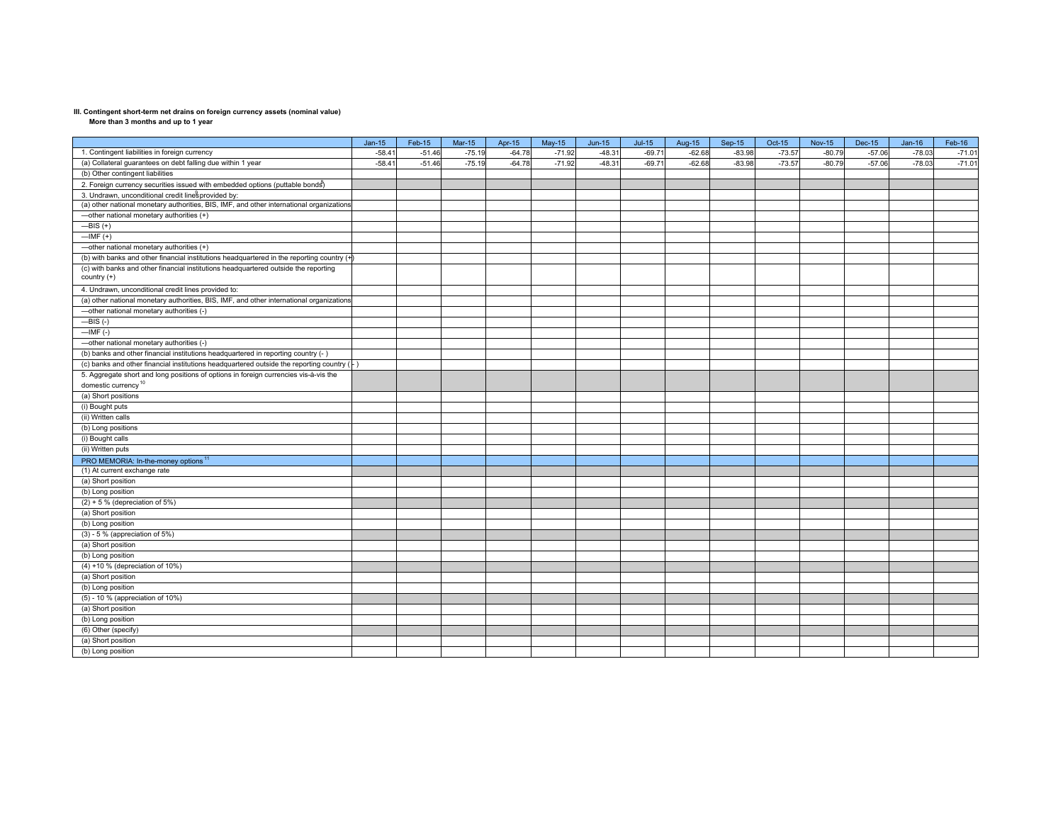**More than 3 months and up to 1 year**

|                                                                                             | $Jan-15$ | Feb-15   | $Mar-15$ | Apr-15   | $May-15$ | $Jun-15$ | $Jul-15$ | Aug-15   | $Sep-15$ | Oct-15   | <b>Nov-15</b> | <b>Dec-15</b> | $Jan-16$ | Feb-16   |
|---------------------------------------------------------------------------------------------|----------|----------|----------|----------|----------|----------|----------|----------|----------|----------|---------------|---------------|----------|----------|
| 1. Contingent liabilities in foreign currency                                               | $-58.41$ | $-51.46$ | $-75.19$ | $-64.78$ | $-71.92$ | $-48.3$  | $-69.71$ | $-62.68$ | $-83.98$ | $-73.57$ | $-80.79$      | $-57.06$      | $-78.03$ | $-71.01$ |
| (a) Collateral guarantees on debt falling due within 1 year                                 | $-58.41$ | $-51.46$ | $-75.19$ | $-64.78$ | $-71.92$ | $-48.3$  | $-69.71$ | $-62.68$ | $-83.98$ | $-73.57$ | $-80.79$      | $-57.06$      | $-78.03$ | $-71.01$ |
| (b) Other contingent liabilities                                                            |          |          |          |          |          |          |          |          |          |          |               |               |          |          |
| 2. Foreign currency securities issued with embedded options (puttable bonds)                |          |          |          |          |          |          |          |          |          |          |               |               |          |          |
| 3. Undrawn, unconditional credit linesprovided by:                                          |          |          |          |          |          |          |          |          |          |          |               |               |          |          |
| (a) other national monetary authorities, BIS, IMF, and other international organizations    |          |          |          |          |          |          |          |          |          |          |               |               |          |          |
| -other national monetary authorities (+)                                                    |          |          |          |          |          |          |          |          |          |          |               |               |          |          |
| $\overline{-}$ BIS (+)                                                                      |          |          |          |          |          |          |          |          |          |          |               |               |          |          |
| $-HMF(+)$                                                                                   |          |          |          |          |          |          |          |          |          |          |               |               |          |          |
| -other national monetary authorities (+)                                                    |          |          |          |          |          |          |          |          |          |          |               |               |          |          |
| (b) with banks and other financial institutions headquartered in the reporting country (+   |          |          |          |          |          |          |          |          |          |          |               |               |          |          |
| (c) with banks and other financial institutions headquartered outside the reporting         |          |          |          |          |          |          |          |          |          |          |               |               |          |          |
| country (+)                                                                                 |          |          |          |          |          |          |          |          |          |          |               |               |          |          |
| 4. Undrawn, unconditional credit lines provided to:                                         |          |          |          |          |          |          |          |          |          |          |               |               |          |          |
| (a) other national monetary authorities, BIS, IMF, and other international organizations    |          |          |          |          |          |          |          |          |          |          |               |               |          |          |
| -other national monetary authorities (-)                                                    |          |          |          |          |          |          |          |          |          |          |               |               |          |          |
| $-BIS$ (-)                                                                                  |          |          |          |          |          |          |          |          |          |          |               |               |          |          |
| $-MF(-)$                                                                                    |          |          |          |          |          |          |          |          |          |          |               |               |          |          |
| -other national monetary authorities (-)                                                    |          |          |          |          |          |          |          |          |          |          |               |               |          |          |
| (b) banks and other financial institutions headquartered in reporting country (- )          |          |          |          |          |          |          |          |          |          |          |               |               |          |          |
| (c) banks and other financial institutions headquartered outside the reporting country (- ) |          |          |          |          |          |          |          |          |          |          |               |               |          |          |
| 5. Aggregate short and long positions of options in foreign currencies vis-à-vis the        |          |          |          |          |          |          |          |          |          |          |               |               |          |          |
| domestic currency <sup>10</sup>                                                             |          |          |          |          |          |          |          |          |          |          |               |               |          |          |
| (a) Short positions                                                                         |          |          |          |          |          |          |          |          |          |          |               |               |          |          |
| (i) Bought puts                                                                             |          |          |          |          |          |          |          |          |          |          |               |               |          |          |
| (ii) Written calls                                                                          |          |          |          |          |          |          |          |          |          |          |               |               |          |          |
| (b) Long positions                                                                          |          |          |          |          |          |          |          |          |          |          |               |               |          |          |
| (i) Bought calls                                                                            |          |          |          |          |          |          |          |          |          |          |               |               |          |          |
| (ii) Written puts                                                                           |          |          |          |          |          |          |          |          |          |          |               |               |          |          |
| PRO MEMORIA: In-the-money options <sup>11</sup>                                             |          |          |          |          |          |          |          |          |          |          |               |               |          |          |
| (1) At current exchange rate                                                                |          |          |          |          |          |          |          |          |          |          |               |               |          |          |
| (a) Short position                                                                          |          |          |          |          |          |          |          |          |          |          |               |               |          |          |
| (b) Long position                                                                           |          |          |          |          |          |          |          |          |          |          |               |               |          |          |
| $(2) + 5$ % (depreciation of 5%)                                                            |          |          |          |          |          |          |          |          |          |          |               |               |          |          |
| (a) Short position                                                                          |          |          |          |          |          |          |          |          |          |          |               |               |          |          |
| (b) Long position                                                                           |          |          |          |          |          |          |          |          |          |          |               |               |          |          |
| $(3)$ - 5 % (appreciation of 5%)                                                            |          |          |          |          |          |          |          |          |          |          |               |               |          |          |
| (a) Short position                                                                          |          |          |          |          |          |          |          |          |          |          |               |               |          |          |
| (b) Long position                                                                           |          |          |          |          |          |          |          |          |          |          |               |               |          |          |
| (4) +10 % (depreciation of 10%)                                                             |          |          |          |          |          |          |          |          |          |          |               |               |          |          |
| (a) Short position                                                                          |          |          |          |          |          |          |          |          |          |          |               |               |          |          |
| (b) Long position                                                                           |          |          |          |          |          |          |          |          |          |          |               |               |          |          |
| (5) - 10 % (appreciation of 10%)                                                            |          |          |          |          |          |          |          |          |          |          |               |               |          |          |
| (a) Short position                                                                          |          |          |          |          |          |          |          |          |          |          |               |               |          |          |
| (b) Long position                                                                           |          |          |          |          |          |          |          |          |          |          |               |               |          |          |
| (6) Other (specify)                                                                         |          |          |          |          |          |          |          |          |          |          |               |               |          |          |
| (a) Short position                                                                          |          |          |          |          |          |          |          |          |          |          |               |               |          |          |
| (b) Long position                                                                           |          |          |          |          |          |          |          |          |          |          |               |               |          |          |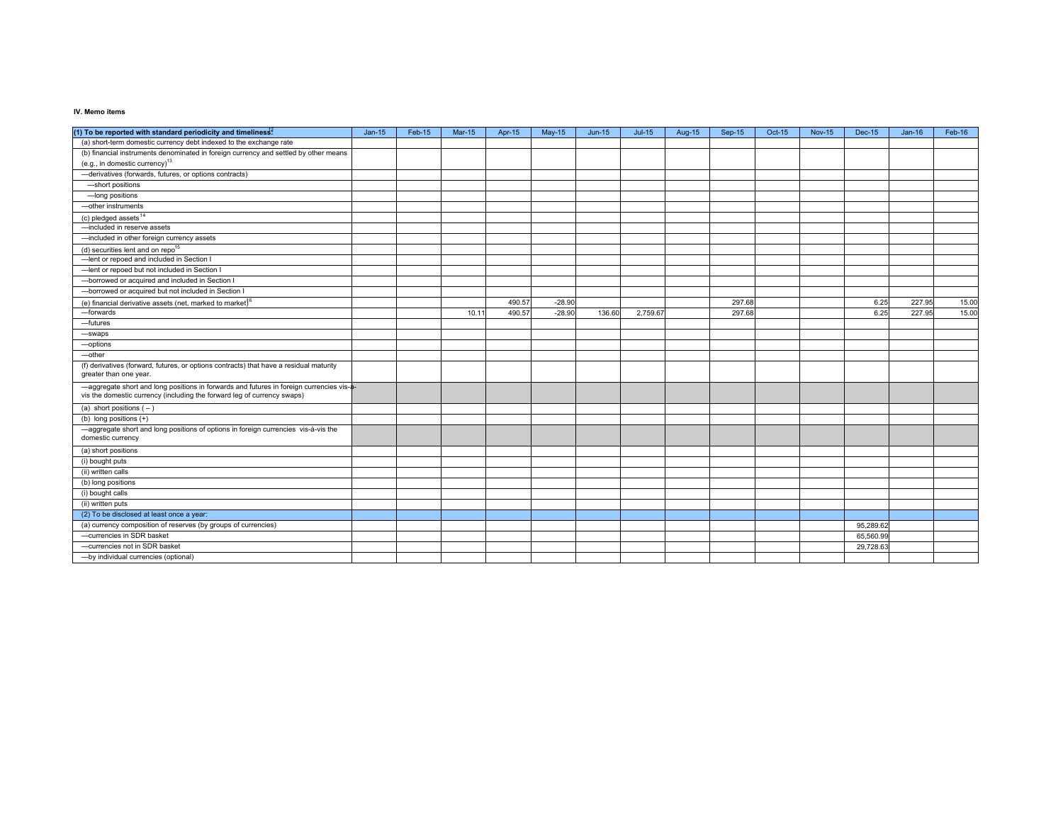### **IV. Memo items**

| (1) To be reported with standard periodicity and timeliness <sup>2</sup>                                                                                            | $Jan-15$ | Feb-15 | <b>Mar-15</b> | Apr-15 | May-15   | $Jun-15$ | $Jul-15$ | Aug-15 | $Sep-15$ | Oct-15 | <b>Nov-15</b> | <b>Dec-15</b> | $Jan-16$ | Feb-16 |
|---------------------------------------------------------------------------------------------------------------------------------------------------------------------|----------|--------|---------------|--------|----------|----------|----------|--------|----------|--------|---------------|---------------|----------|--------|
| (a) short-term domestic currency debt indexed to the exchange rate                                                                                                  |          |        |               |        |          |          |          |        |          |        |               |               |          |        |
| (b) financial instruments denominated in foreign currency and settled by other means                                                                                |          |        |               |        |          |          |          |        |          |        |               |               |          |        |
| (e.g., in domestic currency) <sup>13</sup>                                                                                                                          |          |        |               |        |          |          |          |        |          |        |               |               |          |        |
| -derivatives (forwards, futures, or options contracts)                                                                                                              |          |        |               |        |          |          |          |        |          |        |               |               |          |        |
| -short positions                                                                                                                                                    |          |        |               |        |          |          |          |        |          |        |               |               |          |        |
| -long positions                                                                                                                                                     |          |        |               |        |          |          |          |        |          |        |               |               |          |        |
| -other instruments                                                                                                                                                  |          |        |               |        |          |          |          |        |          |        |               |               |          |        |
| (c) pledged assets <sup>14</sup>                                                                                                                                    |          |        |               |        |          |          |          |        |          |        |               |               |          |        |
| -included in reserve assets                                                                                                                                         |          |        |               |        |          |          |          |        |          |        |               |               |          |        |
| -included in other foreign currency assets                                                                                                                          |          |        |               |        |          |          |          |        |          |        |               |               |          |        |
| (d) securities lent and on repo <sup>15</sup>                                                                                                                       |          |        |               |        |          |          |          |        |          |        |               |               |          |        |
| -lent or repoed and included in Section I                                                                                                                           |          |        |               |        |          |          |          |        |          |        |               |               |          |        |
| -lent or repoed but not included in Section I                                                                                                                       |          |        |               |        |          |          |          |        |          |        |               |               |          |        |
| -borrowed or acquired and included in Section I                                                                                                                     |          |        |               |        |          |          |          |        |          |        |               |               |          |        |
| -borrowed or acquired but not included in Section I                                                                                                                 |          |        |               |        |          |          |          |        |          |        |               |               |          |        |
| (e) financial derivative assets (net, marked to market) <sup>6</sup>                                                                                                |          |        |               | 490.57 | $-28.90$ |          |          |        | 297.68   |        |               | 6.25          | 227.95   | 15.00  |
| -forwards                                                                                                                                                           |          |        | 10.11         | 490.57 | $-28.90$ | 136.60   | 2,759.67 |        | 297.68   |        |               | 6.25          | 227.95   | 15.00  |
| -futures                                                                                                                                                            |          |        |               |        |          |          |          |        |          |        |               |               |          |        |
| -swaps                                                                                                                                                              |          |        |               |        |          |          |          |        |          |        |               |               |          |        |
| -options                                                                                                                                                            |          |        |               |        |          |          |          |        |          |        |               |               |          |        |
| -other                                                                                                                                                              |          |        |               |        |          |          |          |        |          |        |               |               |          |        |
| (f) derivatives (forward, futures, or options contracts) that have a residual maturity<br>greater than one year.                                                    |          |        |               |        |          |          |          |        |          |        |               |               |          |        |
| -aggregate short and long positions in forwards and futures in foreign currencies vis-a-<br>vis the domestic currency (including the forward leg of currency swaps) |          |        |               |        |          |          |          |        |          |        |               |               |          |        |
| (a) short positions $(-)$                                                                                                                                           |          |        |               |        |          |          |          |        |          |        |               |               |          |        |
| (b) long positions $(+)$                                                                                                                                            |          |        |               |        |          |          |          |        |          |        |               |               |          |        |
| -aggregate short and long positions of options in foreign currencies vis-à-vis the<br>domestic currency                                                             |          |        |               |        |          |          |          |        |          |        |               |               |          |        |
| (a) short positions                                                                                                                                                 |          |        |               |        |          |          |          |        |          |        |               |               |          |        |
| (i) bought puts                                                                                                                                                     |          |        |               |        |          |          |          |        |          |        |               |               |          |        |
| (ii) written calls                                                                                                                                                  |          |        |               |        |          |          |          |        |          |        |               |               |          |        |
| (b) long positions                                                                                                                                                  |          |        |               |        |          |          |          |        |          |        |               |               |          |        |
| (i) bought calls                                                                                                                                                    |          |        |               |        |          |          |          |        |          |        |               |               |          |        |
| (ii) written puts                                                                                                                                                   |          |        |               |        |          |          |          |        |          |        |               |               |          |        |
| (2) To be disclosed at least once a year:                                                                                                                           |          |        |               |        |          |          |          |        |          |        |               |               |          |        |
| (a) currency composition of reserves (by groups of currencies)                                                                                                      |          |        |               |        |          |          |          |        |          |        |               | 95,289.62     |          |        |
| -currencies in SDR basket                                                                                                                                           |          |        |               |        |          |          |          |        |          |        |               | 65,560.9      |          |        |
| -currencies not in SDR basket                                                                                                                                       |          |        |               |        |          |          |          |        |          |        |               | 29,728.63     |          |        |
| -by individual currencies (optional)                                                                                                                                |          |        |               |        |          |          |          |        |          |        |               |               |          |        |